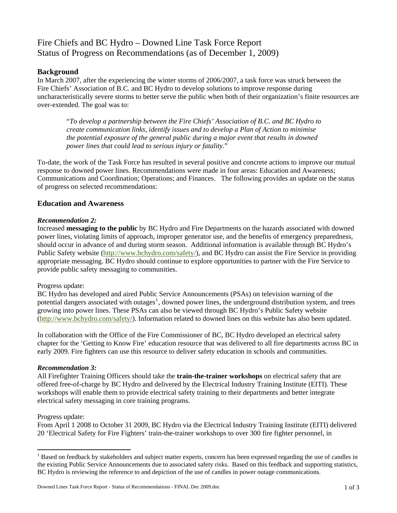# Fire Chiefs and BC Hydro – Downed Line Task Force Report Status of Progress on Recommendations (as of December 1, 2009)

# **Background**

In March 2007, after the experiencing the winter storms of 2006/2007, a task force was struck between the Fire Chiefs' Association of B.C. and BC Hydro to develop solutions to improve response during uncharacteristically severe storms to better serve the public when both of their organization's finite resources are over-extended. The goal was to:

"*To develop a partnership between the Fire Chiefs' Association of B.C. and BC Hydro to create communication links, identify issues and to develop a Plan of Action to minimise the potential exposure of the general public during a major event that results in downed power lines that could lead to serious injury or fatality.*"

To-date, the work of the Task Force has resulted in several positive and concrete actions to improve our mutual response to downed power lines. Recommendations were made in four areas: Education and Awareness; Communications and Coordination; Operations; and Finances. The following provides an update on the status of progress on selected recommendations:

# **Education and Awareness**

# *Recommendation 2:*

Increased **messaging to the public** by BC Hydro and Fire Departments on the hazards associated with downed power lines, violating limits of approach, improper generator use, and the benefits of emergency preparedness, should occur in advance of and during storm season. Additional information is available through BC Hydro's Public Safety website [\(http://www.bchydro.com/safety/](http://www.bchydro.com/safety/)), and BC Hydro can assist the Fire Service in providing appropriate messaging. BC Hydro should continue to explore opportunities to partner with the Fire Service to provide public safety messaging to communities.

# Progress update:

BC Hydro has developed and aired Public Service Announcements (PSAs) on television warning of the potential dangers associated with outages<sup>[1](#page-0-0)</sup>, downed power lines, the underground distribution system, and trees growing into power lines. These PSAs can also be viewed through BC Hydro's Public Safety website [\(http://www.bchydro.com/safety/](http://www.bchydro.com/safety/)). Information related to downed lines on this website has also been updated.

In collaboration with the Office of the Fire Commissioner of BC, BC Hydro developed an electrical safety chapter for the 'Getting to Know Fire' education resource that was delivered to all fire departments across BC in early 2009. Fire fighters can use this resource to deliver safety education in schools and communities.

# *Recommendation 3:*

All Firefighter Training Officers should take the **train-the-trainer workshops** on electrical safety that are offered free-of-charge by BC Hydro and delivered by the Electrical Industry Training Institute (EITI). These workshops will enable them to provide electrical safety training to their departments and better integrate electrical safety messaging in core training programs.

# Progress update:

 $\overline{a}$ 

From April 1 2008 to October 31 2009, BC Hydro via the Electrical Industry Training Institute (EITI) delivered 20 'Electrical Safety for Fire Fighters' train-the-trainer workshops to over 300 fire fighter personnel, in

<span id="page-0-0"></span><sup>&</sup>lt;sup>1</sup> Based on feedback by stakeholders and subject matter experts, concern has been expressed regarding the use of candles in the existing Public Service Announcements due to associated safety risks. Based on this feedback and supporting statistics, BC Hydro is reviewing the reference to and depiction of the use of candles in power outage communications.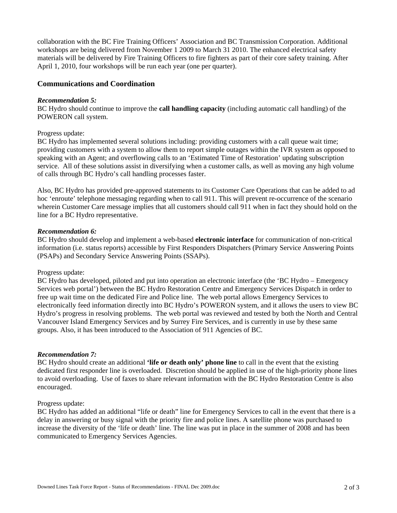collaboration with the BC Fire Training Officers' Association and BC Transmission Corporation. Additional workshops are being delivered from November 1 2009 to March 31 2010. The enhanced electrical safety materials will be delivered by Fire Training Officers to fire fighters as part of their core safety training. After April 1, 2010, four workshops will be run each year (one per quarter).

# **Communications and Coordination**

#### *Recommendation 5:*

BC Hydro should continue to improve the **call handling capacity** (including automatic call handling) of the POWERON call system.

### Progress update:

BC Hydro has implemented several solutions including: providing customers with a call queue wait time; providing customers with a system to allow them to report simple outages within the IVR system as opposed to speaking with an Agent; and overflowing calls to an 'Estimated Time of Restoration' updating subscription service. All of these solutions assist in diversifying when a customer calls, as well as moving any high volume of calls through BC Hydro's call handling processes faster.

Also, BC Hydro has provided pre-approved statements to its Customer Care Operations that can be added to ad hoc 'enroute' telephone messaging regarding when to call 911. This will prevent re-occurrence of the scenario wherein Customer Care message implies that all customers should call 911 when in fact they should hold on the line for a BC Hydro representative.

#### *Recommendation 6:*

BC Hydro should develop and implement a web-based **electronic interface** for communication of non-critical information (i.e. status reports) accessible by First Responders Dispatchers (Primary Service Answering Points (PSAPs) and Secondary Service Answering Points (SSAPs).

### Progress update:

BC Hydro has developed, piloted and put into operation an electronic interface (the 'BC Hydro – Emergency Services web portal') between the BC Hydro Restoration Centre and Emergency Services Dispatch in order to free up wait time on the dedicated Fire and Police line. The web portal allows Emergency Services to electronically feed information directly into BC Hydro's POWERON system, and it allows the users to view BC Hydro's progress in resolving problems. The web portal was reviewed and tested by both the North and Central Vancouver Island Emergency Services and by Surrey Fire Services, and is currently in use by these same groups. Also, it has been introduced to the Association of 911 Agencies of BC.

### *Recommendation 7:*

BC Hydro should create an additional **'life or death only' phone line** to call in the event that the existing dedicated first responder line is overloaded. Discretion should be applied in use of the high-priority phone lines to avoid overloading. Use of faxes to share relevant information with the BC Hydro Restoration Centre is also encouraged.

#### Progress update:

BC Hydro has added an additional "life or death" line for Emergency Services to call in the event that there is a delay in answering or busy signal with the priority fire and police lines. A satellite phone was purchased to increase the diversity of the 'life or death' line. The line was put in place in the summer of 2008 and has been communicated to Emergency Services Agencies.